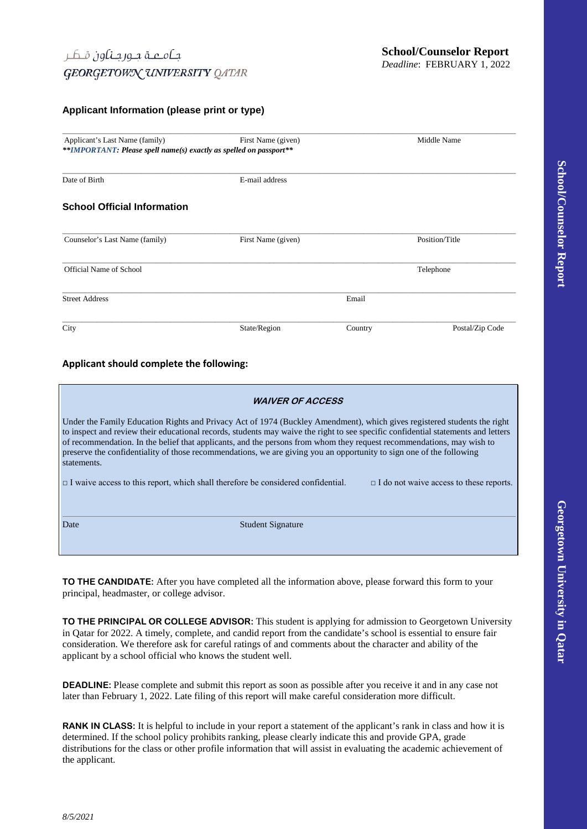### **Applicant Information (please print or type)**

| Applicant's Last Name (family)                                     | First Name (given) |         | Middle Name     |  |  |  |
|--------------------------------------------------------------------|--------------------|---------|-----------------|--|--|--|
| **IMPORTANT: Please spell name(s) exactly as spelled on passport** |                    |         |                 |  |  |  |
| Date of Birth                                                      | E-mail address     |         |                 |  |  |  |
| <b>School Official Information</b>                                 |                    |         |                 |  |  |  |
| Counselor's Last Name (family)                                     | First Name (given) |         |                 |  |  |  |
| Official Name of School                                            |                    |         | Telephone       |  |  |  |
| <b>Street Address</b>                                              |                    | Email   |                 |  |  |  |
| City                                                               | State/Region       | Country | Postal/Zip Code |  |  |  |

### **Applicant should complete the following:**

| <b>WAIVER OF ACCESS</b>                                                                                                                                                                                                                                                                                                                                                                                                                                                                                                       |  |  |  |  |  |
|-------------------------------------------------------------------------------------------------------------------------------------------------------------------------------------------------------------------------------------------------------------------------------------------------------------------------------------------------------------------------------------------------------------------------------------------------------------------------------------------------------------------------------|--|--|--|--|--|
| Under the Family Education Rights and Privacy Act of 1974 (Buckley Amendment), which gives registered students the right<br>to inspect and review their educational records, students may waive the right to see specific confidential statements and letters<br>of recommendation. In the belief that applicants, and the persons from whom they request recommendations, may wish to<br>preserve the confidentiality of those recommendations, we are giving you an opportunity to sign one of the following<br>statements. |  |  |  |  |  |
| $\Box$ I waive access to this report, which shall therefore be considered confidential.<br>$\Box$ I do not waive access to these reports.                                                                                                                                                                                                                                                                                                                                                                                     |  |  |  |  |  |
| <b>Student Signature</b><br>Date                                                                                                                                                                                                                                                                                                                                                                                                                                                                                              |  |  |  |  |  |

**TO THE CANDIDATE:** After you have completed all the information above, please forward this form to your principal, headmaster, or college advisor.

**TO THE PRINCIPAL OR COLLEGE ADVISOR:** This student is applying for admission to Georgetown University in Qatar for 2022. A timely, complete, and candid report from the candidate's school is essential to ensure fair consideration. We therefore ask for careful ratings of and comments about the character and ability of the applicant by a school official who knows the student well.

**DEADLINE:** Please complete and submit this report as soon as possible after you receive it and in any case not later than February 1, 2022. Late filing of this report will make careful consideration more difficult.

**RANK IN CLASS:** It is helpful to include in your report a statement of the applicant's rank in class and how it is determined. If the school policy prohibits ranking, please clearly indicate this and provide GPA, grade distributions for the class or other profile information that will assist in evaluating the academic achievement of the applicant.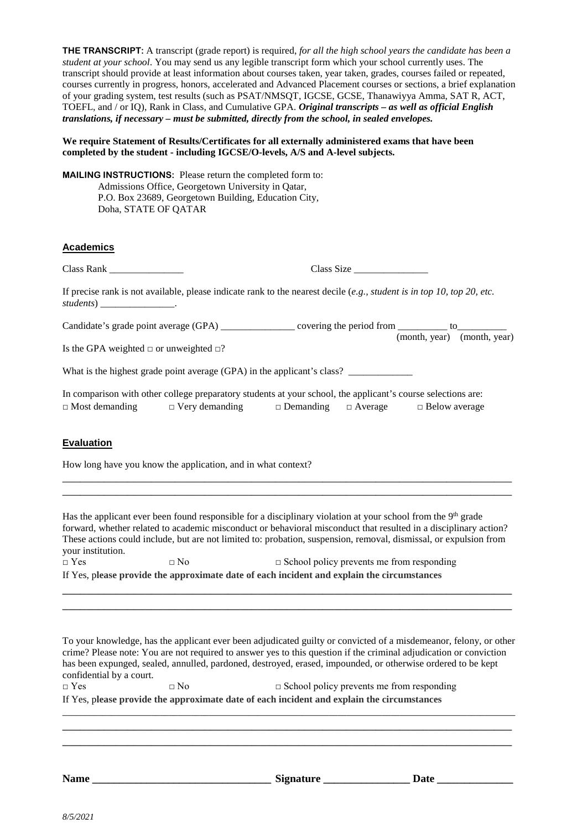**THE TRANSCRIPT:** A transcript (grade report) is required, *for all the high school years the candidate has been a student at your school*. You may send us any legible transcript form which your school currently uses. The transcript should provide at least information about courses taken, year taken, grades, courses failed or repeated, courses currently in progress, honors, accelerated and Advanced Placement courses or sections, a brief explanation of your grading system, test results (such as PSAT/NMSQT, IGCSE, GCSE, Thanawiyya Amma, SAT R, ACT, TOEFL, and / or IQ), Rank in Class, and Cumulative GPA. *Original transcripts – as well as official English translations, if necessary – must be submitted, directly from the school, in sealed envelopes.* 

#### **We require Statement of Results/Certificates for all externally administered exams that have been completed by the student - including IGCSE/O-levels, A/S and A-level subjects.**

**MAILING INSTRUCTIONS:** Please return the completed form to: Admissions Office, Georgetown University in Qatar, P.O. Box 23689, Georgetown Building, Education City, Doha, STATE OF QATAR

# **Academics**

Class Rank \_\_\_\_\_\_\_\_\_\_\_\_\_\_\_ Class Size \_\_\_\_\_\_\_\_\_\_\_\_\_\_\_

If precise rank is not available, please indicate rank to the nearest decile (*e.g., student is in top 10, top 20, etc. students*) \_\_\_\_\_\_\_\_\_\_\_\_\_\_\_.

| Candidate's grade point average (GPA) | covering the period from __ |                             |  |  |
|---------------------------------------|-----------------------------|-----------------------------|--|--|
|                                       |                             | (month, year) (month, year) |  |  |

Is the GPA weighted  $\Box$  or unweighted  $\Box$ ?

What is the highest grade point average  $(GPA)$  in the applicant's class?

|                       | In comparison with other college preparatory students at your school, the applicant's course selections are: |                                 |                      |
|-----------------------|--------------------------------------------------------------------------------------------------------------|---------------------------------|----------------------|
| $\Box$ Most demanding | $\Box$ Very demanding                                                                                        | $\Box$ Demanding $\Box$ Average | $\Box$ Below average |

# **Evaluation**

How long have you know the application, and in what context?

Has the applicant ever been found responsible for a disciplinary violation at your school from the 9<sup>th</sup> grade forward, whether related to academic misconduct or behavioral misconduct that resulted in a disciplinary action? These actions could include, but are not limited to: probation, suspension, removal, dismissal, or expulsion from your institution.

**\_\_\_\_\_\_\_\_\_\_\_\_\_\_\_\_\_\_\_\_\_\_\_\_\_\_\_\_\_\_\_\_\_\_\_\_\_\_\_\_\_\_\_\_\_\_\_\_\_\_\_\_\_\_\_\_\_\_\_\_\_\_\_\_\_\_\_\_\_\_\_\_\_\_\_\_ \_\_\_\_\_\_\_\_\_\_\_\_\_\_\_\_\_\_\_\_\_\_\_\_\_\_\_\_\_\_\_\_\_\_\_\_\_\_\_\_\_\_\_\_\_\_\_\_\_\_\_\_\_\_\_\_\_\_\_\_\_\_\_\_\_\_\_\_\_\_\_\_\_\_\_\_**

\_\_\_\_\_\_\_\_\_\_\_\_\_\_\_\_\_\_\_\_\_\_\_\_\_\_\_\_\_\_\_\_\_\_\_\_\_\_\_\_\_\_\_\_\_\_\_\_\_\_\_\_\_\_\_\_\_\_\_\_\_\_\_\_\_\_\_\_\_\_\_\_\_\_\_\_ \_\_\_\_\_\_\_\_\_\_\_\_\_\_\_\_\_\_\_\_\_\_\_\_\_\_\_\_\_\_\_\_\_\_\_\_\_\_\_\_\_\_\_\_\_\_\_\_\_\_\_\_\_\_\_\_\_\_\_\_\_\_\_\_\_\_\_\_\_\_\_\_\_\_\_\_

| $\sqcap$ Yes                                                                               | $\Box$ No | $\Box$ School policy prevents me from responding |  |  |  |  |
|--------------------------------------------------------------------------------------------|-----------|--------------------------------------------------|--|--|--|--|
| If Yes, please provide the approximate date of each incident and explain the circumstances |           |                                                  |  |  |  |  |

To your knowledge, has the applicant ever been adjudicated guilty or convicted of a misdemeanor, felony, or other crime? Please note: You are not required to answer yes to this question if the criminal adjudication or conviction has been expunged, sealed, annulled, pardoned, destroyed, erased, impounded, or otherwise ordered to be kept confidential by a court.  $\square$  Yes  $\square$  No  $\square$  School policy prevents me from responding If Yes, p**lease provide the approximate date of each incident and explain the circumstances**

**\_\_\_\_\_\_\_\_\_\_\_\_\_\_\_\_\_\_\_\_\_\_\_\_\_\_\_\_\_\_\_\_\_\_\_\_\_\_\_\_\_\_\_\_\_\_\_\_\_\_\_\_\_\_\_\_\_\_\_\_\_\_\_\_\_\_\_\_\_\_\_\_\_\_\_\_\_\_\_\_\_\_\_\_\_\_\_\_\_\_\_\_\_\_\_\_\_\_\_\_\_\_ \_\_\_\_\_\_\_\_\_\_\_\_\_\_\_\_\_\_\_\_\_\_\_\_\_\_\_\_\_\_\_\_\_\_\_\_\_\_\_\_\_\_\_\_\_\_\_\_\_\_\_\_\_\_\_\_\_\_\_\_\_\_\_\_\_\_\_\_\_\_\_\_\_\_\_\_ \_\_\_\_\_\_\_\_\_\_\_\_\_\_\_\_\_\_\_\_\_\_\_\_\_\_\_\_\_\_\_\_\_\_\_\_\_\_\_\_\_\_\_\_\_\_\_\_\_\_\_\_\_\_\_\_\_\_\_\_\_\_\_\_\_\_\_\_\_\_\_\_\_\_\_\_**